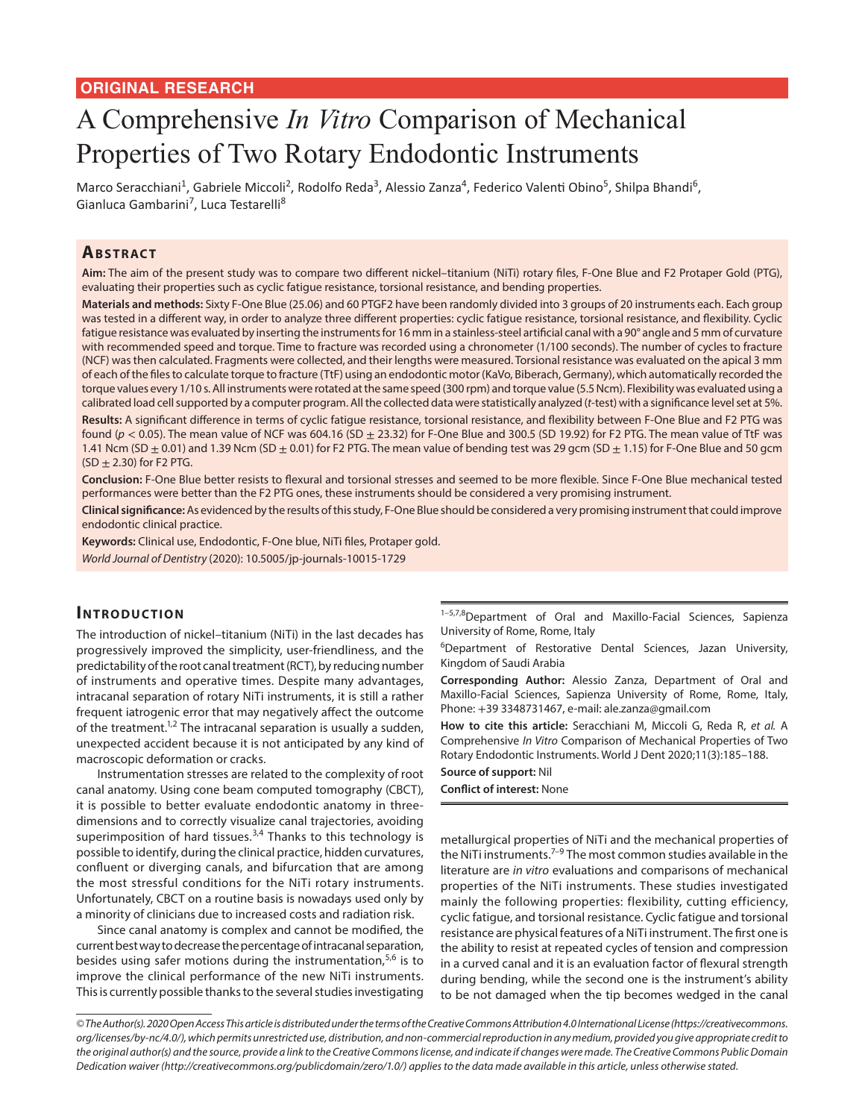## **ORIGINAL RESEARCH**

# A Comprehensive *In Vitro* Comparison of Mechanical Properties of Two Rotary Endodontic Instruments

Marco Seracchiani<sup>1</sup>, Gabriele Miccoli<sup>2</sup>, Rodolfo Reda<sup>3</sup>, Alessio Zanza<sup>4</sup>, Federico Valenti Obino<sup>5</sup>, Shilpa Bhandi<sup>6</sup>, Gianluca Gambarini<sup>7</sup>, Luca Testarelli<sup>8</sup>

## **ABSTRACT**

**Aim:** The aim of the present study was to compare two different nickel–titanium (NiTi) rotary files, F-One Blue and F2 Protaper Gold (PTG), evaluating their properties such as cyclic fatigue resistance, torsional resistance, and bending properties.

**Materials and methods:** Sixty F-One Blue (25.06) and 60 PTGF2 have been randomly divided into 3 groups of 20 instruments each. Each group was tested in a different way, in order to analyze three different properties: cyclic fatigue resistance, torsional resistance, and flexibility. Cyclic fatigue resistance was evaluated by inserting the instruments for 16 mm in a stainless-steel artificial canal with a 90° angle and 5 mm of curvature with recommended speed and torque. Time to fracture was recorded using a chronometer (1/100 seconds). The number of cycles to fracture (NCF) was then calculated. Fragments were collected, and their lengths were measured. Torsional resistance was evaluated on the apical 3 mm of each of the files to calculate torque to fracture (TtF) using an endodontic motor (KaVo, Biberach, Germany), which automatically recorded the torque values every 1/10 s. All instruments were rotated at the same speed (300 rpm) and torque value (5.5 Ncm). Flexibility was evaluated using a calibrated load cell supported by a computer program. All the collected data were statistically analyzed (*t*-test) with a significance level set at 5%. **Results:** A significant difference in terms of cyclic fatigue resistance, torsional resistance, and flexibility between F-One Blue and F2 PTG was found (*p* < 0.05). The mean value of NCF was 604.16 (SD ± 23.32) for F-One Blue and 300.5 (SD 19.92) for F2 PTG. The mean value of TtF was 1.41 Ncm (SD  $\pm$  0.01) and 1.39 Ncm (SD  $\pm$  0.01) for F2 PTG. The mean value of bending test was 29 gcm (SD  $\pm$  1.15) for F-One Blue and 50 gcm  $(SD \pm 2.30)$  for F2 PTG.

**Conclusion:** F-One Blue better resists to flexural and torsional stresses and seemed to be more flexible. Since F-One Blue mechanical tested performances were better than the F2 PTG ones, these instruments should be considered a very promising instrument.

**Clinical significance:** As evidenced by the results of this study, F-One Blue should be considered a very promising instrument that could improve endodontic clinical practice.

**Keywords:** Clinical use, Endodontic, F-One blue, NiTi files, Protaper gold. *World Journal of Dentistry* (2020): 10.5005/jp-journals-10015-1729

## **INTRODUCTION**

The introduction of nickel–titanium (NiTi) in the last decades has progressively improved the simplicity, user-friendliness, and the predictability of the root canal treatment (RCT), by reducing number of instruments and operative times. Despite many advantages, intracanal separation of rotary NiTi instruments, it is still a rather frequent iatrogenic error that may negatively affect the outcome of the treatment.<sup>1,2</sup> The intracanal separation is usually a sudden, unexpected accident because it is not anticipated by any kind of macroscopic deformation or cracks.

Instrumentation stresses are related to the complexity of root canal anatomy. Using cone beam computed tomography (CBCT), it is possible to better evaluate endodontic anatomy in threedimensions and to correctly visualize canal trajectories, avoiding superimposition of hard tissues.<sup>3,4</sup> Thanks to this technology is possible to identify, during the clinical practice, hidden curvatures, confluent or diverging canals, and bifurcation that are among the most stressful conditions for the NiTi rotary instruments. Unfortunately, CBCT on a routine basis is nowadays used only by a minority of clinicians due to increased costs and radiation risk.

Since canal anatomy is complex and cannot be modified, the current best way to decrease the percentage of intracanal separation, besides using safer motions during the instrumentation, $5.6$  is to improve the clinical performance of the new NiTi instruments. This is currently possible thanks to the several studies investigating

1-5,7,8 Department of Oral and Maxillo-Facial Sciences, Sapienza University of Rome, Rome, Italy

6 Department of Restorative Dental Sciences, Jazan University, Kingdom of Saudi Arabia

**Corresponding Author:** Alessio Zanza, Department of Oral and Maxillo-Facial Sciences, Sapienza University of Rome, Rome, Italy, Phone: +39 3348731467, e-mail: ale.zanza@gmail.com

**How to cite this article:** Seracchiani M, Miccoli G, Reda R, *et al.* A Comprehensive *In Vitro* Comparison of Mechanical Properties of Two Rotary Endodontic Instruments. World J Dent 2020;11(3):185–188.

**Source of support:** Nil **Conflict of interest:** None

metallurgical properties of NiTi and the mechanical properties of the NiTi instruments.<sup> $7-9$ </sup> The most common studies available in the literature are *in vitro* evaluations and comparisons of mechanical properties of the NiTi instruments. These studies investigated mainly the following properties: flexibility, cutting efficiency, cyclic fatigue, and torsional resistance. Cyclic fatigue and torsional resistance are physical features of a NiTi instrument. The first one is the ability to resist at repeated cycles of tension and compression in a curved canal and it is an evaluation factor of flexural strength during bending, while the second one is the instrument's ability to be not damaged when the tip becomes wedged in the canal

*<sup>©</sup> The Author(s). 2020 Open Access This article is distributed under the terms of the Creative Commons Attribution 4.0 International License (https://creativecommons. org/licenses/by-nc/4.0/), which permits unrestricted use, distribution, and non-commercial reproduction in any medium, provided you give appropriate credit to the original author(s) and the source, provide a link to the Creative Commons license, and indicate if changes were made. The Creative Commons Public Domain Dedication waiver (http://creativecommons.org/publicdomain/zero/1.0/) applies to the data made available in this article, unless otherwise stated.*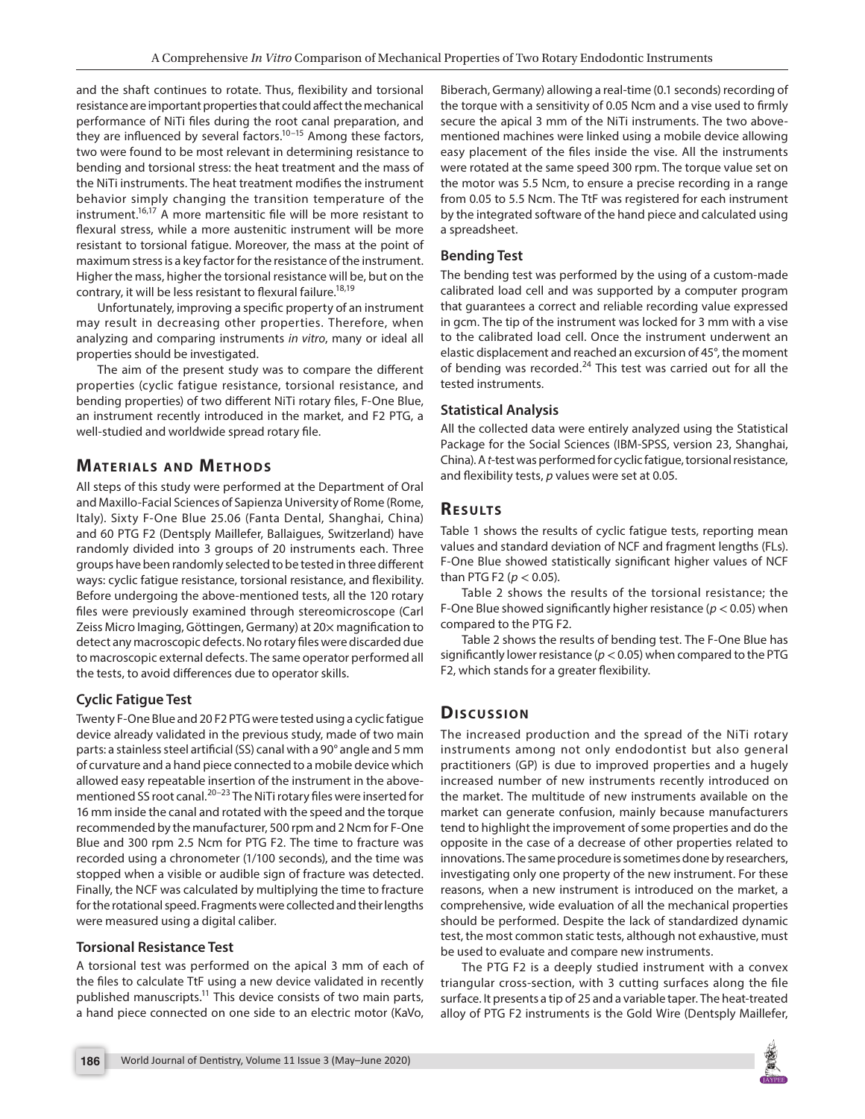and the shaft continues to rotate. Thus, flexibility and torsional resistance are important properties that could affect the mechanical performance of NiTi files during the root canal preparation, and they are influenced by several factors.<sup>10–15</sup> Among these factors, two were found to be most relevant in determining resistance to bending and torsional stress: the heat treatment and the mass of the NiTi instruments. The heat treatment modifies the instrument behavior simply changing the transition temperature of the instrument.16,17 A more martensitic file will be more resistant to flexural stress, while a more austenitic instrument will be more resistant to torsional fatigue. Moreover, the mass at the point of maximum stress is a key factor for the resistance of the instrument. Higher the mass, higher the torsional resistance will be, but on the contrary, it will be less resistant to flexural failure.<sup>18,19</sup>

Unfortunately, improving a specific property of an instrument may result in decreasing other properties. Therefore, when analyzing and comparing instruments *in vitro*, many or ideal all properties should be investigated.

The aim of the present study was to compare the different properties (cyclic fatigue resistance, torsional resistance, and bending properties) of two different NiTi rotary files, F-One Blue, an instrument recently introduced in the market, and F2 PTG, a well-studied and worldwide spread rotary file.

# **MATERIALS AND METHODS**

All steps of this study were performed at the Department of Oral and Maxillo-Facial Sciences of Sapienza University of Rome (Rome, Italy). Sixty F-One Blue 25.06 (Fanta Dental, Shanghai, China) and 60 PTG F2 (Dentsply Maillefer, Ballaigues, Switzerland) have randomly divided into 3 groups of 20 instruments each. Three groups have been randomly selected to be tested in three different ways: cyclic fatigue resistance, torsional resistance, and flexibility. Before undergoing the above-mentioned tests, all the 120 rotary files were previously examined through stereomicroscope (Carl Zeiss Micro Imaging, Göttingen, Germany) at 20× magnification to detect any macroscopic defects. No rotary files were discarded due to macroscopic external defects. The same operator performed all the tests, to avoid differences due to operator skills.

## **Cyclic Fatigue Test**

Twenty F-One Blue and 20 F2 PTG were tested using a cyclic fatigue device already validated in the previous study, made of two main parts: a stainless steel artificial (SS) canal with a 90° angle and 5 mm of curvature and a hand piece connected to a mobile device which allowed easy repeatable insertion of the instrument in the abovementioned SS root canal.<sup>20-23</sup> The NiTi rotary files were inserted for 16 mm inside the canal and rotated with the speed and the torque recommended by the manufacturer, 500 rpm and 2 Ncm for F-One Blue and 300 rpm 2.5 Ncm for PTG F2. The time to fracture was recorded using a chronometer (1/100 seconds), and the time was stopped when a visible or audible sign of fracture was detected. Finally, the NCF was calculated by multiplying the time to fracture for the rotational speed. Fragments were collected and their lengths were measured using a digital caliber.

#### **Torsional Resistance Test**

A torsional test was performed on the apical 3 mm of each of the files to calculate TtF using a new device validated in recently published manuscripts.<sup>11</sup> This device consists of two main parts, a hand piece connected on one side to an electric motor (KaVo,

Biberach, Germany) allowing a real-time (0.1 seconds) recording of the torque with a sensitivity of 0.05 Ncm and a vise used to firmly secure the apical 3 mm of the NiTi instruments. The two abovementioned machines were linked using a mobile device allowing easy placement of the files inside the vise. All the instruments were rotated at the same speed 300 rpm. The torque value set on the motor was 5.5 Ncm, to ensure a precise recording in a range from 0.05 to 5.5 Ncm. The TtF was registered for each instrument by the integrated software of the hand piece and calculated using a spreadsheet.

#### **Bending Test**

The bending test was performed by the using of a custom-made calibrated load cell and was supported by a computer program that guarantees a correct and reliable recording value expressed in gcm. The tip of the instrument was locked for 3 mm with a vise to the calibrated load cell. Once the instrument underwent an elastic displacement and reached an excursion of 45°, the moment of bending was recorded.24 This test was carried out for all the tested instruments.

#### **Statistical Analysis**

All the collected data were entirely analyzed using the Statistical Package for the Social Sciences (IBM-SPSS, version 23, Shanghai, China). A *t*-test was performed for cyclic fatigue, torsional resistance, and flexibility tests, *p* values were set at 0.05.

## **RESULTS**

Table 1 shows the results of cyclic fatigue tests, reporting mean values and standard deviation of NCF and fragment lengths (FLs). F-One Blue showed statistically significant higher values of NCF than PTG F2 ( $p < 0.05$ ).

Table 2 shows the results of the torsional resistance; the F-One Blue showed significantly higher resistance (*p* < 0.05) when compared to the PTG F2.

Table 2 shows the results of bending test. The F-One Blue has significantly lower resistance ( $p < 0.05$ ) when compared to the PTG F2, which stands for a greater flexibility.

# **Dis c u s sio n**

The increased production and the spread of the NiTi rotary instruments among not only endodontist but also general practitioners (GP) is due to improved properties and a hugely increased number of new instruments recently introduced on the market. The multitude of new instruments available on the market can generate confusion, mainly because manufacturers tend to highlight the improvement of some properties and do the opposite in the case of a decrease of other properties related to innovations. The same procedure is sometimes done by researchers, investigating only one property of the new instrument. For these reasons, when a new instrument is introduced on the market, a comprehensive, wide evaluation of all the mechanical properties should be performed. Despite the lack of standardized dynamic test, the most common static tests, although not exhaustive, must be used to evaluate and compare new instruments.

The PTG F2 is a deeply studied instrument with a convex triangular cross-section, with 3 cutting surfaces along the file surface. It presents a tip of 25 and a variable taper. The heat-treated alloy of PTG F2 instruments is the Gold Wire (Dentsply Maillefer,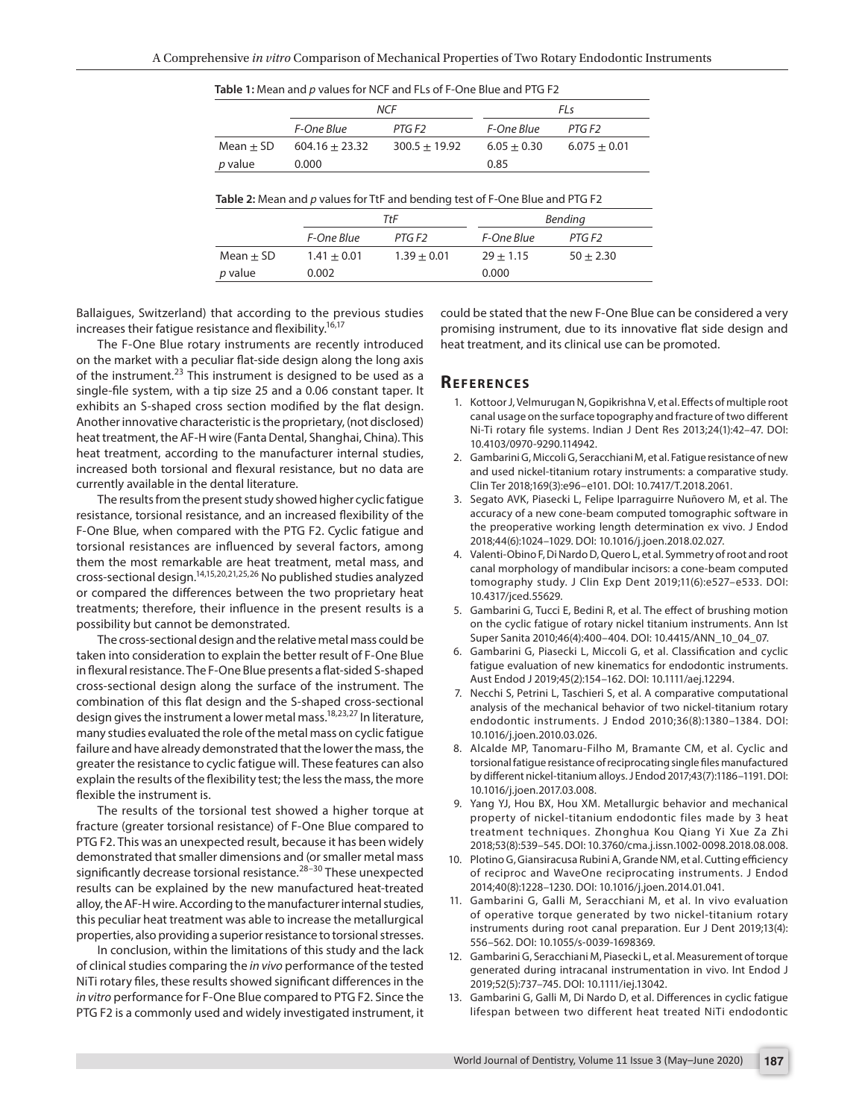| Table 1: Mean and p values for NCF and FLs of F-One Blue and PTG F2 |                  |                 |               |                |  |  |  |  |
|---------------------------------------------------------------------|------------------|-----------------|---------------|----------------|--|--|--|--|
|                                                                     | <b>NCF</b>       |                 | FI s          |                |  |  |  |  |
|                                                                     | F-One Blue       | PTG F2          | F-One Blue    | PTG F2         |  |  |  |  |
| $Mean + SD$                                                         | $604.16 + 23.32$ | $300.5 + 19.92$ | $6.05 + 0.30$ | $6.075 + 0.01$ |  |  |  |  |
| <i>p</i> value                                                      | 0.000            |                 | 0.85          |                |  |  |  |  |

| Table 2: Mean and p values for TtF and bending test of F-One Blue and PTG F2 |               |               |             |             |  |  |  |  |
|------------------------------------------------------------------------------|---------------|---------------|-------------|-------------|--|--|--|--|
|                                                                              | TtF           |               | Bending     |             |  |  |  |  |
|                                                                              | F-One Blue    | PTG F2        | F-One Blue  | PTG F2      |  |  |  |  |
| $Mean + SD$                                                                  | $1.41 + 0.01$ | $1.39 + 0.01$ | $29 + 1.15$ | $50 + 2.30$ |  |  |  |  |
| <i>p</i> value                                                               | 0.002         |               | 0.000       |             |  |  |  |  |

Ballaigues, Switzerland) that according to the previous studies increases their fatigue resistance and flexibility.<sup>16,17</sup>

The F-One Blue rotary instruments are recently introduced on the market with a peculiar flat-side design along the long axis of the instrument.<sup>23</sup> This instrument is designed to be used as a single-file system, with a tip size 25 and a 0.06 constant taper. It exhibits an S-shaped cross section modified by the flat design. Another innovative characteristic is the proprietary, (not disclosed) heat treatment, the AF-H wire (Fanta Dental, Shanghai, China). This heat treatment, according to the manufacturer internal studies, increased both torsional and flexural resistance, but no data are currently available in the dental literature.

The results from the present study showed higher cyclic fatigue resistance, torsional resistance, and an increased flexibility of the F-One Blue, when compared with the PTG F2. Cyclic fatigue and torsional resistances are influenced by several factors, among them the most remarkable are heat treatment, metal mass, and cross-sectional design.14,15,20,21,25,26 No published studies analyzed or compared the differences between the two proprietary heat treatments; therefore, their influence in the present results is a possibility but cannot be demonstrated.

The cross-sectional design and the relative metal mass could be taken into consideration to explain the better result of F-One Blue in flexural resistance. The F-One Blue presents a flat-sided S-shaped cross-sectional design along the surface of the instrument. The combination of this flat design and the S-shaped cross-sectional design gives the instrument a lower metal mass.<sup>18,23,27</sup> In literature, many studies evaluated the role of the metal mass on cyclic fatigue failure and have already demonstrated that the lower the mass, the greater the resistance to cyclic fatigue will. These features can also explain the results of the flexibility test; the less the mass, the more flexible the instrument is.

The results of the torsional test showed a higher torque at fracture (greater torsional resistance) of F-One Blue compared to PTG F2. This was an unexpected result, because it has been widely demonstrated that smaller dimensions and (or smaller metal mass significantly decrease torsional resistance.<sup>28–30</sup> These unexpected results can be explained by the new manufactured heat-treated alloy, the AF-H wire. According to the manufacturer internal studies, this peculiar heat treatment was able to increase the metallurgical properties, also providing a superior resistance to torsional stresses.

In conclusion, within the limitations of this study and the lack of clinical studies comparing the *in vivo* performance of the tested NiTi rotary files, these results showed significant differences in the *in vitro* performance for F-One Blue compared to PTG F2. Since the PTG F2 is a commonly used and widely investigated instrument, it could be stated that the new F-One Blue can be considered a very promising instrument, due to its innovative flat side design and heat treatment, and its clinical use can be promoted.

#### **Re f e r e n c e s**

- 1. Kottoor J, Velmurugan N, Gopikrishna V, et al. Effects of multiple root canal usage on the surface topography and fracture of two different Ni-Ti rotary file systems. Indian J Dent Res 2013;24(1):42–47. DOI: 10.4103/0970-9290.114942.
- 2. Gambarini G, Miccoli G, Seracchiani M, et al. Fatigue resistance of new and used nickel-titanium rotary instruments: a comparative study. Clin Ter 2018;169(3):e96–e101. DOI: 10.7417/T.2018.2061.
- 3. Segato AVK, Piasecki L, Felipe Iparraguirre Nuñovero M, et al. The accuracy of a new cone-beam computed tomographic software in the preoperative working length determination ex vivo. J Endod 2018;44(6):1024–1029. DOI: 10.1016/j.joen.2018.02.027.
- 4. Valenti-Obino F, Di Nardo D, Quero L, et al. Symmetry of root and root canal morphology of mandibular incisors: a cone-beam computed tomography study. J Clin Exp Dent 2019;11(6):e527–e533. DOI: 10.4317/jced.55629.
- 5. Gambarini G, Tucci E, Bedini R, et al. The effect of brushing motion on the cyclic fatigue of rotary nickel titanium instruments. Ann Ist Super Sanita 2010;46(4):400–404. DOI: 10.4415/ANN\_10\_04\_07.
- 6. Gambarini G, Piasecki L, Miccoli G, et al. Classification and cyclic fatigue evaluation of new kinematics for endodontic instruments. Aust Endod J 2019;45(2):154–162. DOI: 10.1111/aej.12294.
- 7. Necchi S, Petrini L, Taschieri S, et al. A comparative computational analysis of the mechanical behavior of two nickel-titanium rotary endodontic instruments. J Endod 2010;36(8):1380–1384. DOI: 10.1016/j.joen.2010.03.026.
- 8. Alcalde MP, Tanomaru-Filho M, Bramante CM, et al. Cyclic and torsional fatigue resistance of reciprocating single files manufactured by different nickel-titanium alloys. J Endod 2017;43(7):1186–1191. DOI: 10.1016/j.joen.2017.03.008.
- 9. Yang YJ, Hou BX, Hou XM. Metallurgic behavior and mechanical property of nickel-titanium endodontic files made by 3 heat treatment techniques. Zhonghua Kou Qiang Yi Xue Za Zhi 2018;53(8):539–545. DOI: 10.3760/cma.j.issn.1002-0098.2018.08.008.
- 10. Plotino G, Giansiracusa Rubini A, Grande NM, et al. Cutting efficiency of reciproc and WaveOne reciprocating instruments. J Endod 2014;40(8):1228–1230. DOI: 10.1016/j.joen.2014.01.041.
- 11. Gambarini G, Galli M, Seracchiani M, et al. In vivo evaluation of operative torque generated by two nickel-titanium rotary instruments during root canal preparation. Eur J Dent 2019;13(4): 556–562. DOI: 10.1055/s-0039-1698369.
- 12. Gambarini G, Seracchiani M, Piasecki L, et al. Measurement of torque generated during intracanal instrumentation in vivo. Int Endod J 2019;52(5):737–745. DOI: 10.1111/iej.13042.
- 13. Gambarini G, Galli M, Di Nardo D, et al. Differences in cyclic fatigue lifespan between two different heat treated NiTi endodontic